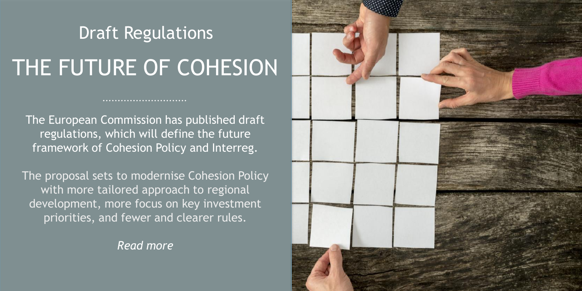## THE FUTURE OF COHESION Draft Regulations

The European Commission has published draft regulations, which will define the future framework of Cohesion Policy and Interreg.

The proposal sets to modernise Cohesion Policy with more tailored approach to regional development, more focus on key investment priorities, and fewer and clearer rules.

*Read more*

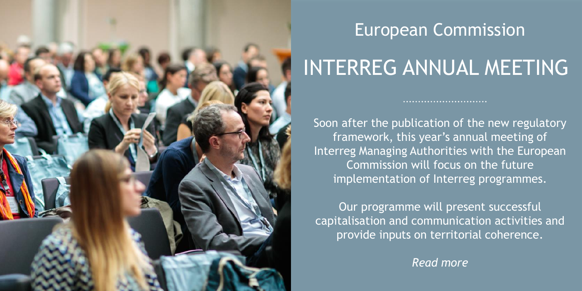

#### European Commission

### INTERREG ANNUAL MEETING

Soon after the publication of the new regulatory framework, this year's annual meeting of Interreg Managing Authorities with the European Commission will focus on the future implementation of Interreg programmes.

Our programme will present successful capitalisation and communication activities and provide inputs on territorial coherence.

*Read more*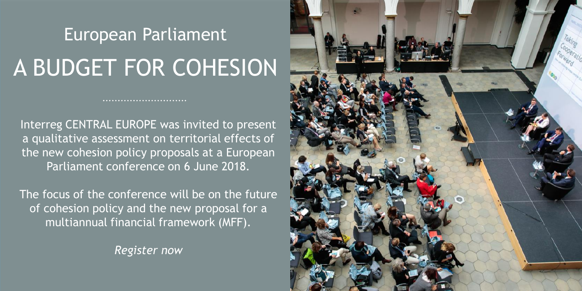# A BUDGET FOR COHESION European Parliament

Interreg CENTRAL EUROPE was invited to present a qualitative assessment on territorial effects of the new cohesion policy proposals at a European Parliament conference on 6 June 2018.

The focus of the conference will be on the future of cohesion policy and the new proposal for a multiannual financial framework (MFF).

*Register now*